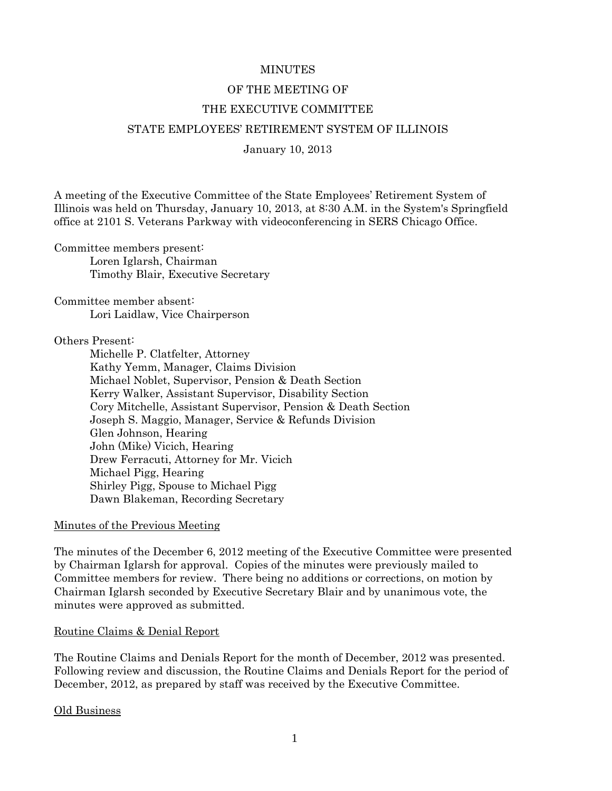# **MINUTES**

# OF THE MEETING OF

# THE EXECUTIVE COMMITTEE

# STATE EMPLOYEES' RETIREMENT SYSTEM OF ILLINOIS

January 10, 2013

A meeting of the Executive Committee of the State Employees' Retirement System of Illinois was held on Thursday, January 10, 2013, at 8:30 A.M. in the System's Springfield office at 2101 S. Veterans Parkway with videoconferencing in SERS Chicago Office.

Committee members present: Loren Iglarsh, Chairman Timothy Blair, Executive Secretary

Committee member absent: Lori Laidlaw, Vice Chairperson

### Others Present:

 Michelle P. Clatfelter, Attorney Kathy Yemm, Manager, Claims Division Michael Noblet, Supervisor, Pension & Death Section Kerry Walker, Assistant Supervisor, Disability Section Cory Mitchelle, Assistant Supervisor, Pension & Death Section Joseph S. Maggio, Manager, Service & Refunds Division Glen Johnson, Hearing John (Mike) Vicich, Hearing Drew Ferracuti, Attorney for Mr. Vicich Michael Pigg, Hearing Shirley Pigg, Spouse to Michael Pigg Dawn Blakeman, Recording Secretary

### Minutes of the Previous Meeting

The minutes of the December 6, 2012 meeting of the Executive Committee were presented by Chairman Iglarsh for approval. Copies of the minutes were previously mailed to Committee members for review. There being no additions or corrections, on motion by Chairman Iglarsh seconded by Executive Secretary Blair and by unanimous vote, the minutes were approved as submitted.

### Routine Claims & Denial Report

The Routine Claims and Denials Report for the month of December, 2012 was presented. Following review and discussion, the Routine Claims and Denials Report for the period of December, 2012, as prepared by staff was received by the Executive Committee.

Old Business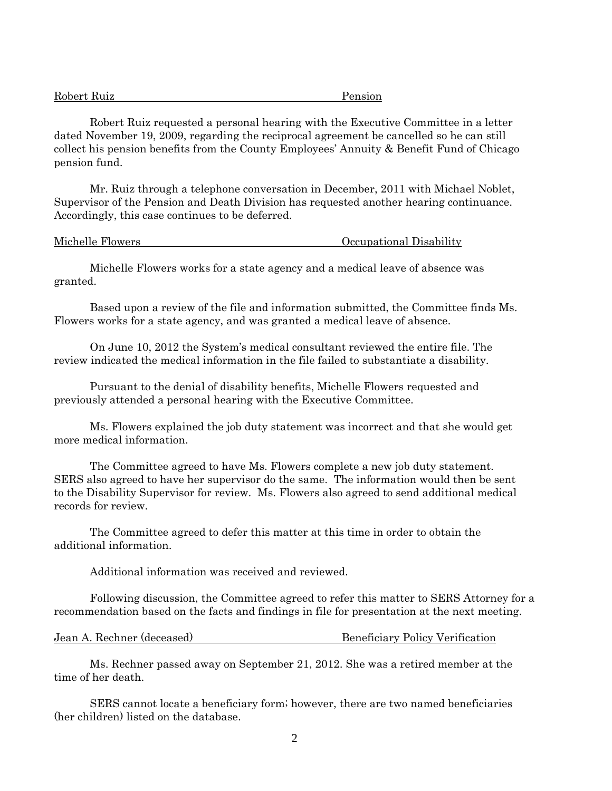| Robert Ruiz | Pension |
|-------------|---------|
|             |         |

 Robert Ruiz requested a personal hearing with the Executive Committee in a letter dated November 19, 2009, regarding the reciprocal agreement be cancelled so he can still collect his pension benefits from the County Employees' Annuity & Benefit Fund of Chicago pension fund.

 Mr. Ruiz through a telephone conversation in December, 2011 with Michael Noblet, Supervisor of the Pension and Death Division has requested another hearing continuance. Accordingly, this case continues to be deferred.

| Michelle Flowers |  |
|------------------|--|
|------------------|--|

#### Occupational Disability

 Michelle Flowers works for a state agency and a medical leave of absence was granted.

 Based upon a review of the file and information submitted, the Committee finds Ms. Flowers works for a state agency, and was granted a medical leave of absence.

 On June 10, 2012 the System's medical consultant reviewed the entire file. The review indicated the medical information in the file failed to substantiate a disability.

 Pursuant to the denial of disability benefits, Michelle Flowers requested and previously attended a personal hearing with the Executive Committee.

 Ms. Flowers explained the job duty statement was incorrect and that she would get more medical information.

 The Committee agreed to have Ms. Flowers complete a new job duty statement. SERS also agreed to have her supervisor do the same. The information would then be sent to the Disability Supervisor for review. Ms. Flowers also agreed to send additional medical records for review.

 The Committee agreed to defer this matter at this time in order to obtain the additional information.

Additional information was received and reviewed.

 Following discussion, the Committee agreed to refer this matter to SERS Attorney for a recommendation based on the facts and findings in file for presentation at the next meeting.

| <b>Beneficiary Policy Verification</b><br>Jean A. Rechner (deceased) |  |
|----------------------------------------------------------------------|--|
|----------------------------------------------------------------------|--|

 Ms. Rechner passed away on September 21, 2012. She was a retired member at the time of her death.

 SERS cannot locate a beneficiary form; however, there are two named beneficiaries (her children) listed on the database.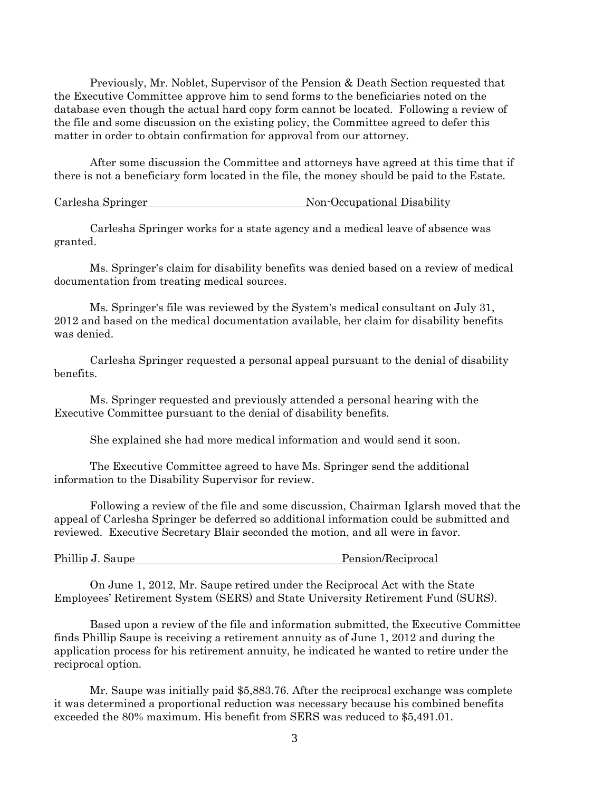Previously, Mr. Noblet, Supervisor of the Pension & Death Section requested that the Executive Committee approve him to send forms to the beneficiaries noted on the database even though the actual hard copy form cannot be located. Following a review of the file and some discussion on the existing policy, the Committee agreed to defer this matter in order to obtain confirmation for approval from our attorney.

 After some discussion the Committee and attorneys have agreed at this time that if there is not a beneficiary form located in the file, the money should be paid to the Estate.

#### Carlesha Springer Non-Occupational Disability

 Carlesha Springer works for a state agency and a medical leave of absence was granted.

 Ms. Springer's claim for disability benefits was denied based on a review of medical documentation from treating medical sources.

 Ms. Springer's file was reviewed by the System's medical consultant on July 31, 2012 and based on the medical documentation available, her claim for disability benefits was denied.

 Carlesha Springer requested a personal appeal pursuant to the denial of disability benefits.

 Ms. Springer requested and previously attended a personal hearing with the Executive Committee pursuant to the denial of disability benefits.

She explained she had more medical information and would send it soon.

 The Executive Committee agreed to have Ms. Springer send the additional information to the Disability Supervisor for review.

 Following a review of the file and some discussion, Chairman Iglarsh moved that the appeal of Carlesha Springer be deferred so additional information could be submitted and reviewed. Executive Secretary Blair seconded the motion, and all were in favor.

| Phillip J. Saupe |  |  |
|------------------|--|--|
|                  |  |  |

Pension/Reciprocal

 On June 1, 2012, Mr. Saupe retired under the Reciprocal Act with the State Employees' Retirement System (SERS) and State University Retirement Fund (SURS).

 Based upon a review of the file and information submitted, the Executive Committee finds Phillip Saupe is receiving a retirement annuity as of June 1, 2012 and during the application process for his retirement annuity, he indicated he wanted to retire under the reciprocal option.

 Mr. Saupe was initially paid \$5,883.76. After the reciprocal exchange was complete it was determined a proportional reduction was necessary because his combined benefits exceeded the 80% maximum. His benefit from SERS was reduced to \$5,491.01.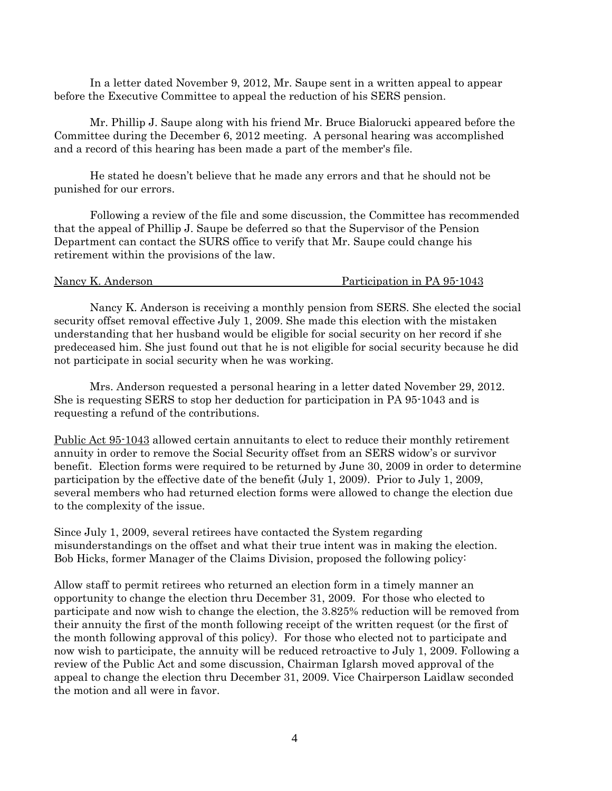In a letter dated November 9, 2012, Mr. Saupe sent in a written appeal to appear before the Executive Committee to appeal the reduction of his SERS pension.

 Mr. Phillip J. Saupe along with his friend Mr. Bruce Bialorucki appeared before the Committee during the December 6, 2012 meeting. A personal hearing was accomplished and a record of this hearing has been made a part of the member's file.

 He stated he doesn't believe that he made any errors and that he should not be punished for our errors.

 Following a review of the file and some discussion, the Committee has recommended that the appeal of Phillip J. Saupe be deferred so that the Supervisor of the Pension Department can contact the SURS office to verify that Mr. Saupe could change his retirement within the provisions of the law.

 Nancy K. Anderson is receiving a monthly pension from SERS. She elected the social security offset removal effective July 1, 2009. She made this election with the mistaken understanding that her husband would be eligible for social security on her record if she predeceased him. She just found out that he is not eligible for social security because he did not participate in social security when he was working.

 Mrs. Anderson requested a personal hearing in a letter dated November 29, 2012. She is requesting SERS to stop her deduction for participation in PA 95-1043 and is requesting a refund of the contributions.

Public Act 95-1043 allowed certain annuitants to elect to reduce their monthly retirement annuity in order to remove the Social Security offset from an SERS widow's or survivor benefit. Election forms were required to be returned by June 30, 2009 in order to determine participation by the effective date of the benefit (July 1, 2009). Prior to July 1, 2009, several members who had returned election forms were allowed to change the election due to the complexity of the issue.

Since July 1, 2009, several retirees have contacted the System regarding misunderstandings on the offset and what their true intent was in making the election. Bob Hicks, former Manager of the Claims Division, proposed the following policy:

Allow staff to permit retirees who returned an election form in a timely manner an opportunity to change the election thru December 31, 2009. For those who elected to participate and now wish to change the election, the 3.825% reduction will be removed from their annuity the first of the month following receipt of the written request (or the first of the month following approval of this policy). For those who elected not to participate and now wish to participate, the annuity will be reduced retroactive to July 1, 2009. Following a review of the Public Act and some discussion, Chairman Iglarsh moved approval of the appeal to change the election thru December 31, 2009. Vice Chairperson Laidlaw seconded the motion and all were in favor.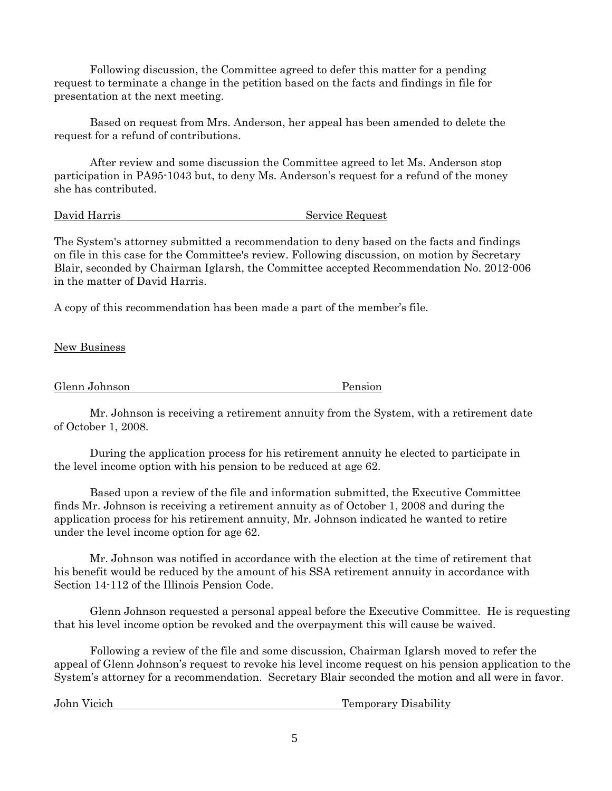Following discussion, the Committee agreed to defer this matter for a pending request to terminate a change in the petition based on the facts and findings in file for presentation at the next meeting.

 Based on request from Mrs. Anderson, her appeal has been amended to delete the request for a refund of contributions.

 After review and some discussion the Committee agreed to let Ms. Anderson stop participation in PA95-1043 but, to deny Ms. Anderson's request for a refund of the money she has contributed.

David Harris Service Request

The System's attorney submitted a recommendation to deny based on the facts and findings on file in this case for the Committee's review. Following discussion, on motion by Secretary Blair, seconded by Chairman Iglarsh, the Committee accepted Recommendation No. 2012-006 in the matter of David Harris.

A copy of this recommendation has been made a part of the member's file.

New Business

Glenn Johnson Pension

 Mr. Johnson is receiving a retirement annuity from the System, with a retirement date of October 1, 2008.

 During the application process for his retirement annuity he elected to participate in the level income option with his pension to be reduced at age 62.

 Based upon a review of the file and information submitted, the Executive Committee finds Mr. Johnson is receiving a retirement annuity as of October 1, 2008 and during the application process for his retirement annuity, Mr. Johnson indicated he wanted to retire under the level income option for age 62.

 Mr. Johnson was notified in accordance with the election at the time of retirement that his benefit would be reduced by the amount of his SSA retirement annuity in accordance with Section 14-112 of the Illinois Pension Code.

 Glenn Johnson requested a personal appeal before the Executive Committee. He is requesting that his level income option be revoked and the overpayment this will cause be waived.

 Following a review of the file and some discussion, Chairman Iglarsh moved to refer the appeal of Glenn Johnson's request to revoke his level income request on his pension application to the System's attorney for a recommendation. Secretary Blair seconded the motion and all were in favor.

John Vicich Temporary Disability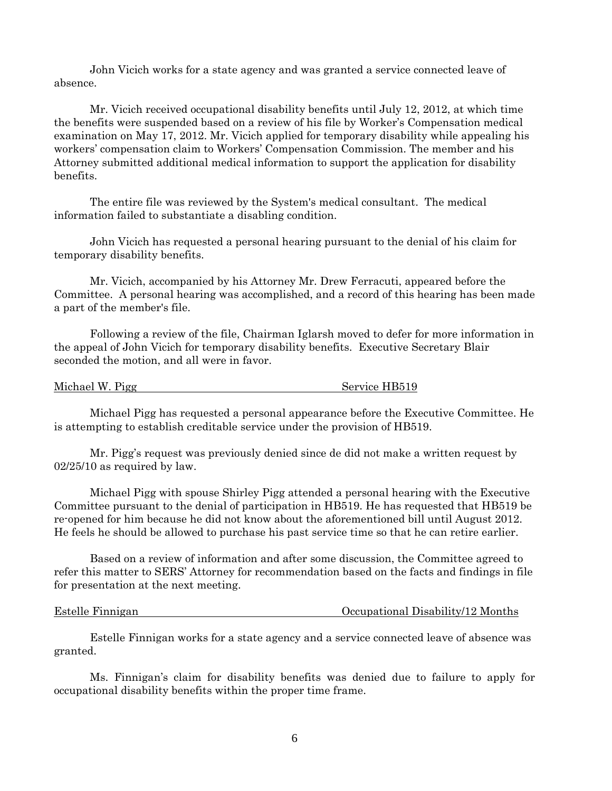John Vicich works for a state agency and was granted a service connected leave of absence.

 Mr. Vicich received occupational disability benefits until July 12, 2012, at which time the benefits were suspended based on a review of his file by Worker's Compensation medical examination on May 17, 2012. Mr. Vicich applied for temporary disability while appealing his workers' compensation claim to Workers' Compensation Commission. The member and his Attorney submitted additional medical information to support the application for disability benefits.

 The entire file was reviewed by the System's medical consultant. The medical information failed to substantiate a disabling condition.

 John Vicich has requested a personal hearing pursuant to the denial of his claim for temporary disability benefits.

 Mr. Vicich, accompanied by his Attorney Mr. Drew Ferracuti, appeared before the Committee. A personal hearing was accomplished, and a record of this hearing has been made a part of the member's file.

 Following a review of the file, Chairman Iglarsh moved to defer for more information in the appeal of John Vicich for temporary disability benefits. Executive Secretary Blair seconded the motion, and all were in favor.

| Michael W. Pigg | Service HB519 |
|-----------------|---------------|
|-----------------|---------------|

 Michael Pigg has requested a personal appearance before the Executive Committee. He is attempting to establish creditable service under the provision of HB519.

 Mr. Pigg's request was previously denied since de did not make a written request by 02/25/10 as required by law.

 Michael Pigg with spouse Shirley Pigg attended a personal hearing with the Executive Committee pursuant to the denial of participation in HB519. He has requested that HB519 be re-opened for him because he did not know about the aforementioned bill until August 2012. He feels he should be allowed to purchase his past service time so that he can retire earlier.

 Based on a review of information and after some discussion, the Committee agreed to refer this matter to SERS' Attorney for recommendation based on the facts and findings in file for presentation at the next meeting.

| <b>Estelle Finnigan</b> | Occupational Disability/12 Months |
|-------------------------|-----------------------------------|
|                         |                                   |

 Estelle Finnigan works for a state agency and a service connected leave of absence was granted.

 Ms. Finnigan's claim for disability benefits was denied due to failure to apply for occupational disability benefits within the proper time frame.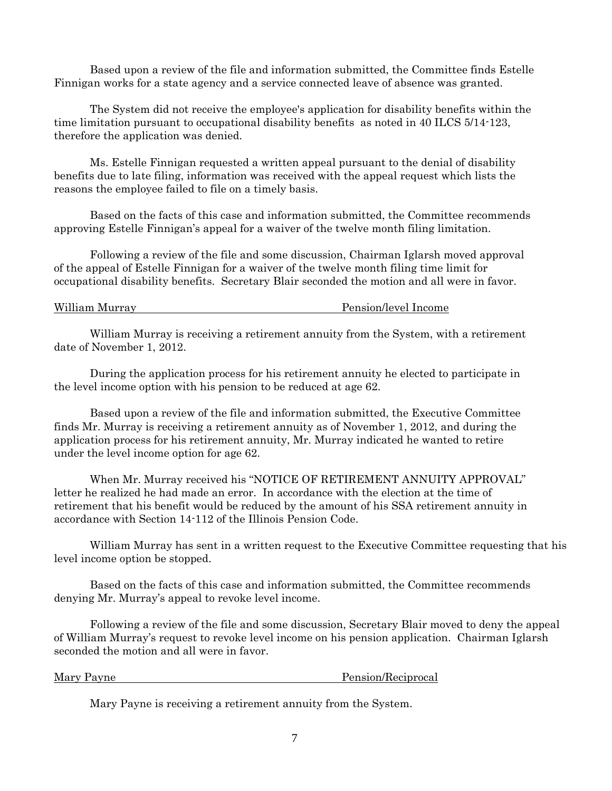Based upon a review of the file and information submitted, the Committee finds Estelle Finnigan works for a state agency and a service connected leave of absence was granted.

 The System did not receive the employee's application for disability benefits within the time limitation pursuant to occupational disability benefits as noted in 40 ILCS 5/14-123, therefore the application was denied.

 Ms. Estelle Finnigan requested a written appeal pursuant to the denial of disability benefits due to late filing, information was received with the appeal request which lists the reasons the employee failed to file on a timely basis.

 Based on the facts of this case and information submitted, the Committee recommends approving Estelle Finnigan's appeal for a waiver of the twelve month filing limitation.

 Following a review of the file and some discussion, Chairman Iglarsh moved approval of the appeal of Estelle Finnigan for a waiver of the twelve month filing time limit for occupational disability benefits. Secretary Blair seconded the motion and all were in favor.

William Murray **Pension/level Income** 

 William Murray is receiving a retirement annuity from the System, with a retirement date of November 1, 2012.

 During the application process for his retirement annuity he elected to participate in the level income option with his pension to be reduced at age 62.

 Based upon a review of the file and information submitted, the Executive Committee finds Mr. Murray is receiving a retirement annuity as of November 1, 2012, and during the application process for his retirement annuity, Mr. Murray indicated he wanted to retire under the level income option for age 62.

 When Mr. Murray received his "NOTICE OF RETIREMENT ANNUITY APPROVAL" letter he realized he had made an error. In accordance with the election at the time of retirement that his benefit would be reduced by the amount of his SSA retirement annuity in accordance with Section 14-112 of the Illinois Pension Code.

 William Murray has sent in a written request to the Executive Committee requesting that his level income option be stopped.

 Based on the facts of this case and information submitted, the Committee recommends denying Mr. Murray's appeal to revoke level income.

 Following a review of the file and some discussion, Secretary Blair moved to deny the appeal of William Murray's request to revoke level income on his pension application. Chairman Iglarsh seconded the motion and all were in favor.

Mary Payne **Pension**/Reciprocal

Mary Payne is receiving a retirement annuity from the System.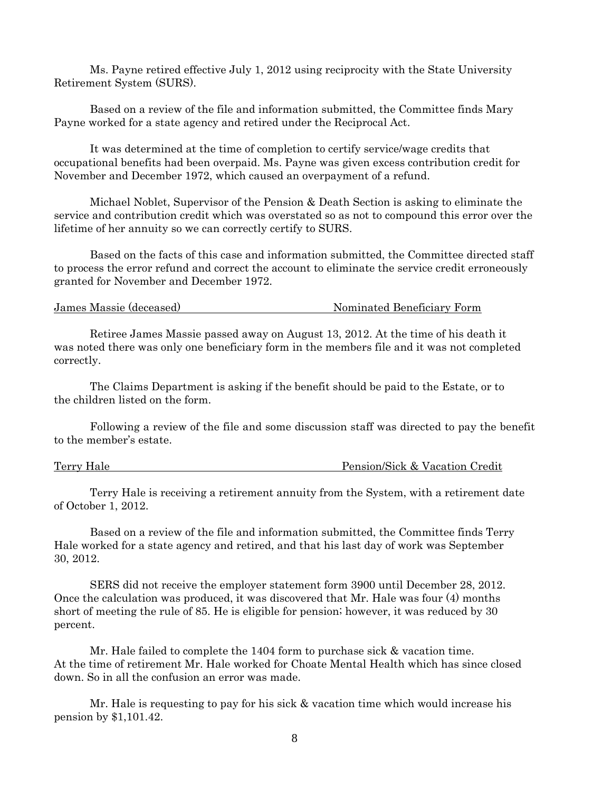Ms. Payne retired effective July 1, 2012 using reciprocity with the State University Retirement System (SURS).

 Based on a review of the file and information submitted, the Committee finds Mary Payne worked for a state agency and retired under the Reciprocal Act.

 It was determined at the time of completion to certify service/wage credits that occupational benefits had been overpaid. Ms. Payne was given excess contribution credit for November and December 1972, which caused an overpayment of a refund.

 Michael Noblet, Supervisor of the Pension & Death Section is asking to eliminate the service and contribution credit which was overstated so as not to compound this error over the lifetime of her annuity so we can correctly certify to SURS.

 Based on the facts of this case and information submitted, the Committee directed staff to process the error refund and correct the account to eliminate the service credit erroneously granted for November and December 1972.

| Nominated Beneficiary Form<br>James Massie (deceased) |
|-------------------------------------------------------|
|-------------------------------------------------------|

 Retiree James Massie passed away on August 13, 2012. At the time of his death it was noted there was only one beneficiary form in the members file and it was not completed correctly.

 The Claims Department is asking if the benefit should be paid to the Estate, or to the children listed on the form.

 Following a review of the file and some discussion staff was directed to pay the benefit to the member's estate.

Terry Hale Pension/Sick & Vacation Credit

 Terry Hale is receiving a retirement annuity from the System, with a retirement date of October 1, 2012.

 Based on a review of the file and information submitted, the Committee finds Terry Hale worked for a state agency and retired, and that his last day of work was September 30, 2012.

 SERS did not receive the employer statement form 3900 until December 28, 2012. Once the calculation was produced, it was discovered that Mr. Hale was four (4) months short of meeting the rule of 85. He is eligible for pension; however, it was reduced by 30 percent.

 Mr. Hale failed to complete the 1404 form to purchase sick & vacation time. At the time of retirement Mr. Hale worked for Choate Mental Health which has since closed down. So in all the confusion an error was made.

 Mr. Hale is requesting to pay for his sick & vacation time which would increase his pension by \$1,101.42.